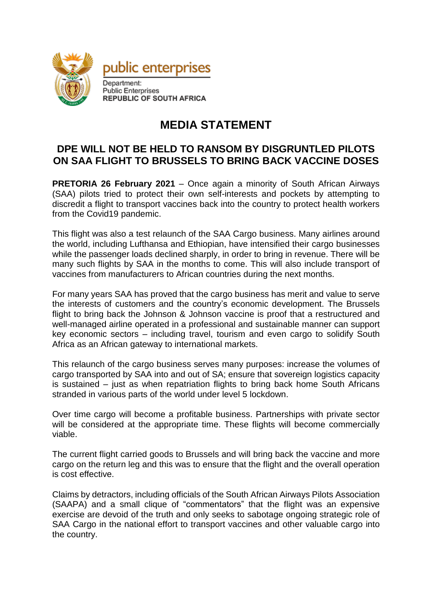



Department: Public Enterprises **REPUBLIC OF SOUTH AFRICA** 

## **MEDIA STATEMENT**

## **DPE WILL NOT BE HELD TO RANSOM BY DISGRUNTLED PILOTS ON SAA FLIGHT TO BRUSSELS TO BRING BACK VACCINE DOSES**

**PRETORIA 26 February 2021** – Once again a minority of South African Airways (SAA) pilots tried to protect their own self-interests and pockets by attempting to discredit a flight to transport vaccines back into the country to protect health workers from the Covid19 pandemic.

This flight was also a test relaunch of the SAA Cargo business. Many airlines around the world, including Lufthansa and Ethiopian, have intensified their cargo businesses while the passenger loads declined sharply, in order to bring in revenue. There will be many such flights by SAA in the months to come. This will also include transport of vaccines from manufacturers to African countries during the next months.

For many years SAA has proved that the cargo business has merit and value to serve the interests of customers and the country's economic development. The Brussels flight to bring back the Johnson & Johnson vaccine is proof that a restructured and well-managed airline operated in a professional and sustainable manner can support key economic sectors – including travel, tourism and even cargo to solidify South Africa as an African gateway to international markets.

This relaunch of the cargo business serves many purposes: increase the volumes of cargo transported by SAA into and out of SA; ensure that sovereign logistics capacity is sustained – just as when repatriation flights to bring back home South Africans stranded in various parts of the world under level 5 lockdown.

Over time cargo will become a profitable business. Partnerships with private sector will be considered at the appropriate time. These flights will become commercially viable.

The current flight carried goods to Brussels and will bring back the vaccine and more cargo on the return leg and this was to ensure that the flight and the overall operation is cost effective.

Claims by detractors, including officials of the South African Airways Pilots Association (SAAPA) and a small clique of "commentators" that the flight was an expensive exercise are devoid of the truth and only seeks to sabotage ongoing strategic role of SAA Cargo in the national effort to transport vaccines and other valuable cargo into the country.